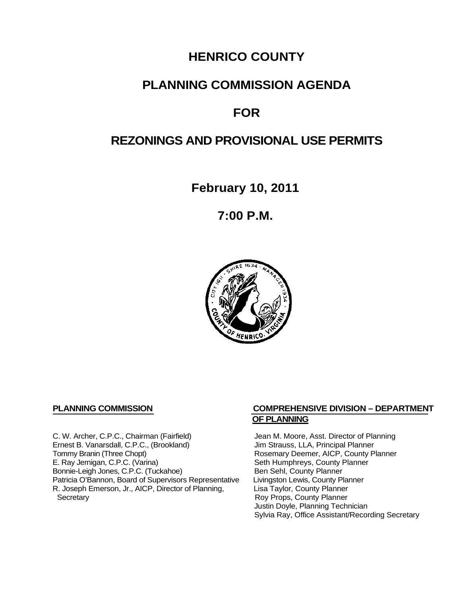# **HENRICO COUNTY**

# **PLANNING COMMISSION AGENDA**

# **FOR**

## **REZONINGS AND PROVISIONAL USE PERMITS**

**February 10, 2011**

**7:00 P.M.**



C. W. Archer, C.P.C., Chairman (Fairfield) Jean M. Moore, Asst. Director of Planning<br>
Ernest B. Vanarsdall, C.P.C., (Brookland) Jim Strauss, LLA, Principal Planner Ernest B. Vanarsdall, C.P.C., (Brookland)<br>Tommy Branin (Three Chopt) Tommy Branin (Three Chopt)<br>
E. Ray Jernigan, C.P.C. (Varina) Seth Humphreys, County Planner E. Ray Jernigan, C.P.C. (Varina) Bonnie-Leigh Jones, C.P.C. (Tuckahoe) Ben Sehl, County Planner<br>Patricia O'Bannon, Board of Supervisors Representative Livingston Lewis, County Planner Patricia O'Bannon, Board of Supervisors Representative Livingston Lewis, County Planner<br>R. Joseph Emerson, Jr., AICP, Director of Planning, Lisa Taylor, County Planner R. Joseph Emerson, Jr., AICP, Director of Planning, Secretary

#### **PLANNING COMMISSION COMPREHENSIVE DIVISION – DEPARTMENT OF PLANNING**

Seth Humphreys, County Planner<br>Ben Sehl, County Planner Roy Props, County Planner Justin Doyle, Planning Technician Sylvia Ray, Office Assistant/Recording Secretary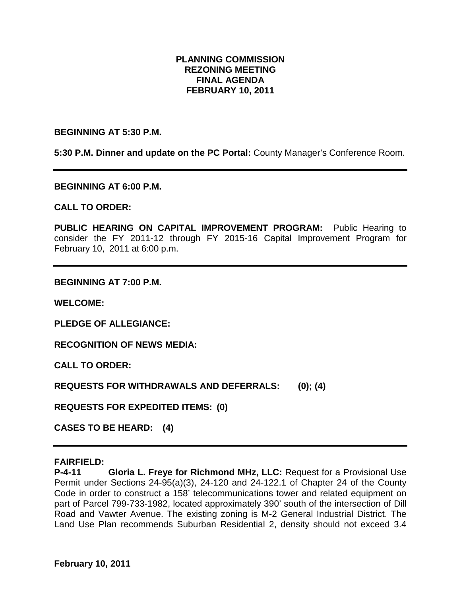#### **PLANNING COMMISSION REZONING MEETING FINAL AGENDA FEBRUARY 10, 2011**

#### **BEGINNING AT 5:30 P.M.**

**5:30 P.M. Dinner and update on the PC Portal:** County Manager's Conference Room.

**BEGINNING AT 6:00 P.M.**

**CALL TO ORDER:**

**PUBLIC HEARING ON CAPITAL IMPROVEMENT PROGRAM:** Public Hearing to consider the FY 2011-12 through FY 2015-16 Capital Improvement Program for February 10, 2011 at 6:00 p.m.

**BEGINNING AT 7:00 P.M.**

**WELCOME:**

**PLEDGE OF ALLEGIANCE:**

**RECOGNITION OF NEWS MEDIA:**

**CALL TO ORDER:**

**REQUESTS FOR WITHDRAWALS AND DEFERRALS: (0); (4)**

**REQUESTS FOR EXPEDITED ITEMS: (0)**

**CASES TO BE HEARD: (4)**

#### **FAIRFIELD:**

**P-4-11 Gloria L. Freye for Richmond MHz, LLC:** Request for a Provisional Use Permit under Sections 24-95(a)(3), 24-120 and 24-122.1 of Chapter 24 of the County Code in order to construct a 158' telecommunications tower and related equipment on part of Parcel 799-733-1982, located approximately 390' south of the intersection of Dill Road and Vawter Avenue. The existing zoning is M-2 General Industrial District. The Land Use Plan recommends Suburban Residential 2, density should not exceed 3.4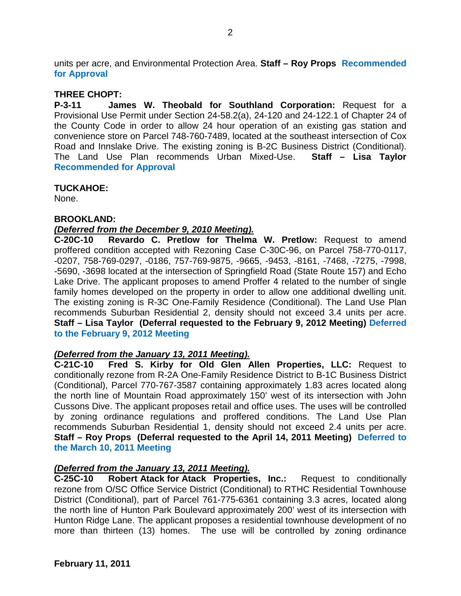units per acre, and Environmental Protection Area. **Staff – Roy Props Recommended for Approval**

## **THREE CHOPT:**

**P-3-11 James W. Theobald for Southland Corporation:** Request for a Provisional Use Permit under Section 24-58.2(a), 24-120 and 24-122.1 of Chapter 24 of the County Code in order to allow 24 hour operation of an existing gas station and convenience store on Parcel 748-760-7489, located at the southeast intersection of Cox Road and Innslake Drive. The existing zoning is B-2C Business District (Conditional). The Land Use Plan recommends Urban Mixed-Use. **Staff – Lisa Taylor Recommended for Approval**

### **TUCKAHOE:**

None.

### **BROOKLAND:**

### *(Deferred from the December 9, 2010 Meeting).*

**C-20C-10 Revardo C. Pretlow for Thelma W. Pretlow:** Request to amend proffered condition accepted with Rezoning Case C-30C-96, on Parcel 758-770-0117, -0207, 758-769-0297, -0186, 757-769-9875, -9665, -9453, -8161, -7468, -7275, -7998, -5690, -3698 located at the intersection of Springfield Road (State Route 157) and Echo Lake Drive. The applicant proposes to amend Proffer 4 related to the number of single family homes developed on the property in order to allow one additional dwelling unit. The existing zoning is R-3C One-Family Residence (Conditional). The Land Use Plan recommends Suburban Residential 2, density should not exceed 3.4 units per acre. **Staff – Lisa Taylor (Deferral requested to the February 9, 2012 Meeting) Deferred to the February 9, 2012 Meeting**

### *(Deferred from the January 13, 2011 Meeting).*

**C-21C-10 Fred S. Kirby for Old Glen Allen Properties, LLC:** Request to conditionally rezone from R-2A One-Family Residence District to B-1C Business District (Conditional), Parcel 770-767-3587 containing approximately 1.83 acres located along the north line of Mountain Road approximately 150' west of its intersection with John Cussons Dive. The applicant proposes retail and office uses. The uses will be controlled by zoning ordinance regulations and proffered conditions. The Land Use Plan recommends Suburban Residential 1, density should not exceed 2.4 units per acre. **Staff – Roy Props (Deferral requested to the April 14, 2011 Meeting) Deferred to the March 10, 2011 Meeting**

### *(Deferred from the January 13, 2011 Meeting).*

**C-25C-10 Robert Atack for Atack Properties, Inc.:** Request to conditionally rezone from O/SC Office Service District (Conditional) to RTHC Residential Townhouse District (Conditional), part of Parcel 761-775-6361 containing 3.3 acres, located along the north line of Hunton Park Boulevard approximately 200' west of its intersection with Hunton Ridge Lane. The applicant proposes a residential townhouse development of no more than thirteen (13) homes. The use will be controlled by zoning ordinance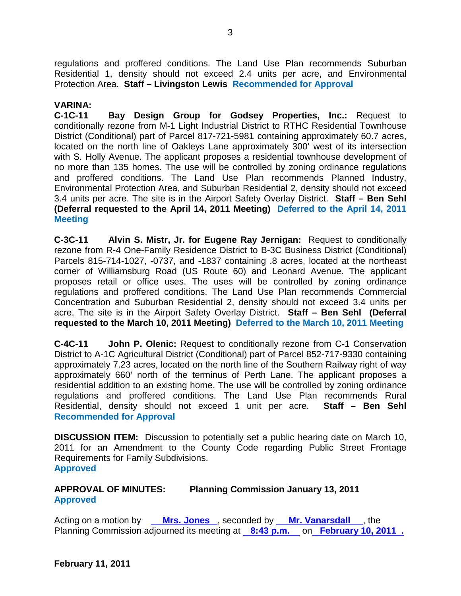regulations and proffered conditions. The Land Use Plan recommends Suburban Residential 1, density should not exceed 2.4 units per acre, and Environmental Protection Area. **Staff – Livingston Lewis Recommended for Approval**

#### **VARINA:**

**C-1C-11 Bay Design Group for Godsey Properties, Inc.:** Request to conditionally rezone from M-1 Light Industrial District to RTHC Residential Townhouse District (Conditional) part of Parcel 817-721-5981 containing approximately 60.7 acres, located on the north line of Oakleys Lane approximately 300' west of its intersection with S. Holly Avenue. The applicant proposes a residential townhouse development of no more than 135 homes. The use will be controlled by zoning ordinance regulations and proffered conditions. The Land Use Plan recommends Planned Industry, Environmental Protection Area, and Suburban Residential 2, density should not exceed 3.4 units per acre. The site is in the Airport Safety Overlay District. **Staff – Ben Sehl (Deferral requested to the April 14, 2011 Meeting) Deferred to the April 14, 2011 Meeting**

**C-3C-11 Alvin S. Mistr, Jr. for Eugene Ray Jernigan:** Request to conditionally rezone from R-4 One-Family Residence District to B-3C Business District (Conditional) Parcels 815-714-1027, -0737, and -1837 containing .8 acres, located at the northeast corner of Williamsburg Road (US Route 60) and Leonard Avenue. The applicant proposes retail or office uses. The uses will be controlled by zoning ordinance regulations and proffered conditions. The Land Use Plan recommends Commercial Concentration and Suburban Residential 2, density should not exceed 3.4 units per acre. The site is in the Airport Safety Overlay District. **Staff – Ben Sehl (Deferral requested to the March 10, 2011 Meeting) Deferred to the March 10, 2011 Meeting**

**C-4C-11 John P. Olenic:** Request to conditionally rezone from C-1 Conservation District to A-1C Agricultural District (Conditional) part of Parcel 852-717-9330 containing approximately 7.23 acres, located on the north line of the Southern Railway right of way approximately 660' north of the terminus of Perth Lane. The applicant proposes a residential addition to an existing home. The use will be controlled by zoning ordinance regulations and proffered conditions. The Land Use Plan recommends Rural Residential, density should not exceed 1 unit per acre. **Staff – Ben Sehl Recommended for Approval**

**DISCUSSION ITEM:** Discussion to potentially set a public hearing date on March 10, 2011 for an Amendment to the County Code regarding Public Street Frontage Requirements for Family Subdivisions. **Approved**

## **APPROVAL OF MINUTES: Planning Commission January 13, 2011 Approved**

Acting on a motion by **Mrs. Jones**, seconded by **Mr. Vanarsdall**, the Planning Commission adjourned its meeting at **8:43 p.m.** on **February 10, 2011 .**